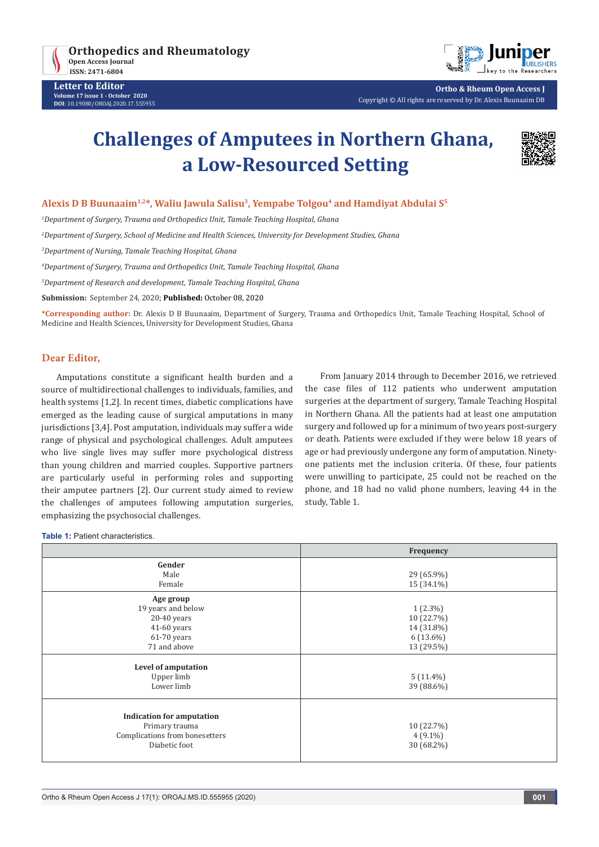



**Ortho & Rheum Open Access J** Copyright © All rights are reserved by Dr. Alexis Buunaaim DB

# **Challenges of Amputees in Northern Ghana, a Low-Resourced Setting**



## **Alexis D B Buunaaim1,2\*, Waliu Jawula Salisu3, Yempabe Tolgou4 and Hamdiyat Abdulai S5**

*1 Department of Surgery, Trauma and Orthopedics Unit, Tamale Teaching Hospital, Ghana*

*2 Department of Surgery, School of Medicine and Health Sciences, University for Development Studies, Ghana*

*3 Department of Nursing, Tamale Teaching Hospital, Ghana*

*4 Department of Surgery, Trauma and Orthopedics Unit, Tamale Teaching Hospital, Ghana*

*5 Department of Research and development, Tamale Teaching Hospital, Ghana*

**Submission:** September 24, 2020; **Published:** October 08, 2020

**\*Corresponding author:** Dr. Alexis D B Buunaaim, Department of Surgery, Trauma and Orthopedics Unit, Tamale Teaching Hospital, School of Medicine and Health Sciences, University for Development Studies, Ghana

# **Dear Editor,**

Amputations constitute a significant health burden and a source of multidirectional challenges to individuals, families, and health systems [1,2]. In recent times, diabetic complications have emerged as the leading cause of surgical amputations in many jurisdictions [3,4]. Post amputation, individuals may suffer a wide range of physical and psychological challenges. Adult amputees who live single lives may suffer more psychological distress than young children and married couples. Supportive partners are particularly useful in performing roles and supporting their amputee partners [2]. Our current study aimed to review the challenges of amputees following amputation surgeries, emphasizing the psychosocial challenges.

From January 2014 through to December 2016, we retrieved the case files of 112 patients who underwent amputation surgeries at the department of surgery, Tamale Teaching Hospital in Northern Ghana. All the patients had at least one amputation surgery and followed up for a minimum of two years post-surgery or death. Patients were excluded if they were below 18 years of age or had previously undergone any form of amputation. Ninetyone patients met the inclusion criteria. Of these, four patients were unwilling to participate, 25 could not be reached on the phone, and 18 had no valid phone numbers, leaving 44 in the study, Table 1.

**Table 1:** Patient characteristics.

|                                                                                                       | Frequency                                                           |
|-------------------------------------------------------------------------------------------------------|---------------------------------------------------------------------|
| Gender<br>Male<br>Female                                                                              | 29 (65.9%)<br>15 (34.1%)                                            |
| Age group<br>19 years and below<br>$20-40$ years<br>$41-60$ years<br>$61-70$ years<br>71 and above    | $1(2.3\%)$<br>10 (22.7%)<br>14 (31.8%)<br>$6(13.6\%)$<br>13 (29.5%) |
| Level of amputation<br>Upper limb<br>Lower limb                                                       | $5(11.4\%)$<br>39 (88.6%)                                           |
| <b>Indication for amputation</b><br>Primary trauma<br>Complications from bonesetters<br>Diabetic foot | 10 (22.7%)<br>$4(9.1\%)$<br>30 (68.2%)                              |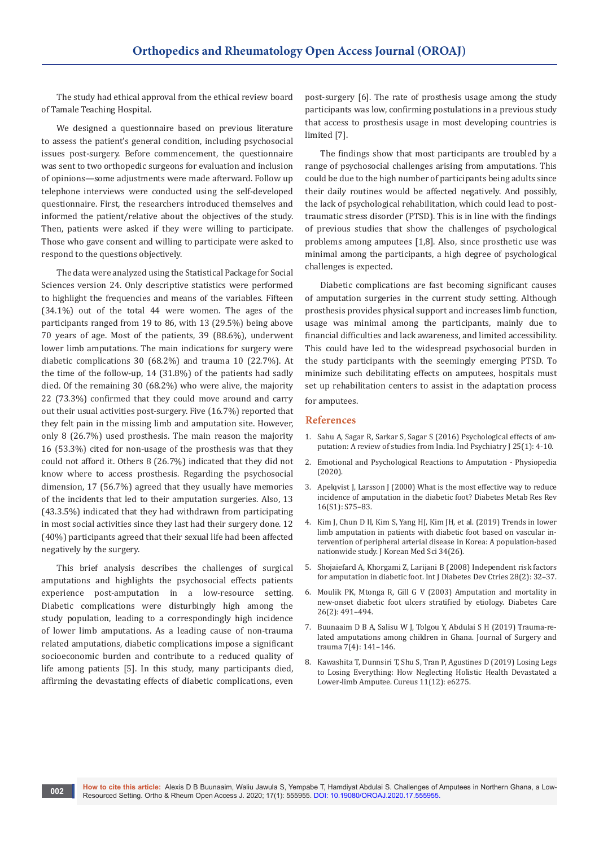The study had ethical approval from the ethical review board of Tamale Teaching Hospital.

We designed a questionnaire based on previous literature to assess the patient's general condition, including psychosocial issues post-surgery. Before commencement, the questionnaire was sent to two orthopedic surgeons for evaluation and inclusion of opinions—some adjustments were made afterward. Follow up telephone interviews were conducted using the self-developed questionnaire. First, the researchers introduced themselves and informed the patient/relative about the objectives of the study. Then, patients were asked if they were willing to participate. Those who gave consent and willing to participate were asked to respond to the questions objectively.

The data were analyzed using the Statistical Package for Social Sciences version 24. Only descriptive statistics were performed to highlight the frequencies and means of the variables. Fifteen (34.1%) out of the total 44 were women. The ages of the participants ranged from 19 to 86, with 13 (29.5%) being above 70 years of age. Most of the patients, 39 (88.6%), underwent lower limb amputations. The main indications for surgery were diabetic complications 30 (68.2%) and trauma 10 (22.7%). At the time of the follow-up, 14 (31.8%) of the patients had sadly died. Of the remaining 30 (68.2%) who were alive, the majority 22 (73.3%) confirmed that they could move around and carry out their usual activities post-surgery. Five (16.7%) reported that they felt pain in the missing limb and amputation site. However, only 8 (26.7%) used prosthesis. The main reason the majority 16 (53.3%) cited for non-usage of the prosthesis was that they could not afford it. Others 8 (26.7%) indicated that they did not know where to access prosthesis. Regarding the psychosocial dimension, 17 (56.7%) agreed that they usually have memories of the incidents that led to their amputation surgeries. Also, 13 (43.3.5%) indicated that they had withdrawn from participating in most social activities since they last had their surgery done. 12 (40%) participants agreed that their sexual life had been affected negatively by the surgery.

This brief analysis describes the challenges of surgical amputations and highlights the psychosocial effects patients experience post-amputation in a low-resource setting. Diabetic complications were disturbingly high among the study population, leading to a correspondingly high incidence of lower limb amputations. As a leading cause of non-trauma related amputations, diabetic complications impose a significant socioeconomic burden and contribute to a reduced quality of life among patients [5]. In this study, many participants died, affirming the devastating effects of diabetic complications, even

post-surgery [6]. The rate of prosthesis usage among the study participants was low, confirming postulations in a previous study that access to prosthesis usage in most developing countries is limited [7].

The findings show that most participants are troubled by a range of psychosocial challenges arising from amputations. This could be due to the high number of participants being adults since their daily routines would be affected negatively. And possibly, the lack of psychological rehabilitation, which could lead to posttraumatic stress disorder (PTSD). This is in line with the findings of previous studies that show the challenges of psychological problems among amputees [1,8]. Also, since prosthetic use was minimal among the participants, a high degree of psychological challenges is expected.

Diabetic complications are fast becoming significant causes of amputation surgeries in the current study setting. Although prosthesis provides physical support and increases limb function, usage was minimal among the participants, mainly due to financial difficulties and lack awareness, and limited accessibility. This could have led to the widespread psychosocial burden in the study participants with the seemingly emerging PTSD. To minimize such debilitating effects on amputees, hospitals must set up rehabilitation centers to assist in the adaptation process for amputees.

#### **References**

- 1. [Sahu A, Sagar R, Sarkar S, Sagar S \(2016\) Psychological effects of am](https://www.ncbi.nlm.nih.gov/pmc/articles/PMC5248418/)[putation: A review of studies from India. Ind Psychiatry J 25\(1\): 4-10.](https://www.ncbi.nlm.nih.gov/pmc/articles/PMC5248418/)
- 2. [Emotional and Psychological Reactions to Amputation Physiopedia](https://www.physio-pedia.com/Emotional_and_Psychological_Reactions_to_Amputation)  [\(2020\).](https://www.physio-pedia.com/Emotional_and_Psychological_Reactions_to_Amputation)
- 3. [Apelqvist J, Larsson J \(2000\) What is the most effective way to reduce](https://pubmed.ncbi.nlm.nih.gov/11054894/)  [incidence of amputation in the diabetic foot? Diabetes Metab Res Rev](https://pubmed.ncbi.nlm.nih.gov/11054894/)  [16\(S1\): S75–83.](https://pubmed.ncbi.nlm.nih.gov/11054894/)
- 4. [Kim J, Chun D Il, Kim S, Yang HJ, Kim JH, et al. \(2019\) Trends in lower](https://pubmed.ncbi.nlm.nih.gov/31269542/)  [limb amputation in patients with diabetic foot based on vascular in](https://pubmed.ncbi.nlm.nih.gov/31269542/)[tervention of peripheral arterial disease in Korea: A population-based](https://pubmed.ncbi.nlm.nih.gov/31269542/)  [nationwide study. J Korean Med Sci 34\(26\).](https://pubmed.ncbi.nlm.nih.gov/31269542/)
- 5. [Shojaiefard A, Khorgami Z, Larijani B \(2008\) Independent risk factors](https://pubmed.ncbi.nlm.nih.gov/19902045/)  [for amputation in diabetic foot. Int J Diabetes Dev Ctries 28\(2\): 32–37.](https://pubmed.ncbi.nlm.nih.gov/19902045/)
- 6. [Moulik PK, Mtonga R, Gill G V \(2003\) Amputation and mortality in](https://pubmed.ncbi.nlm.nih.gov/12547887/)  [new-onset diabetic foot ulcers stratified by etiology. Diabetes Care](https://pubmed.ncbi.nlm.nih.gov/12547887/)  [26\(2\): 491–494.](https://pubmed.ncbi.nlm.nih.gov/12547887/)
- 7. Buunaaim D B A, Salisu W J, Tolgou Y, Abdulai S H (2019) Trauma-related amputations among children in Ghana. Journal of Surgery and trauma 7(4): 141–146.
- 8. [Kawashita T, Dunnsiri T, Shu S, Tran P, Agustines D \(2019\) Losing Legs](https://pubmed.ncbi.nlm.nih.gov/31911868/)  [to Losing Everything: How Neglecting Holistic Health Devastated a](https://pubmed.ncbi.nlm.nih.gov/31911868/)  [Lower-limb Amputee. Cureus 11\(12\): e6275.](https://pubmed.ncbi.nlm.nih.gov/31911868/)